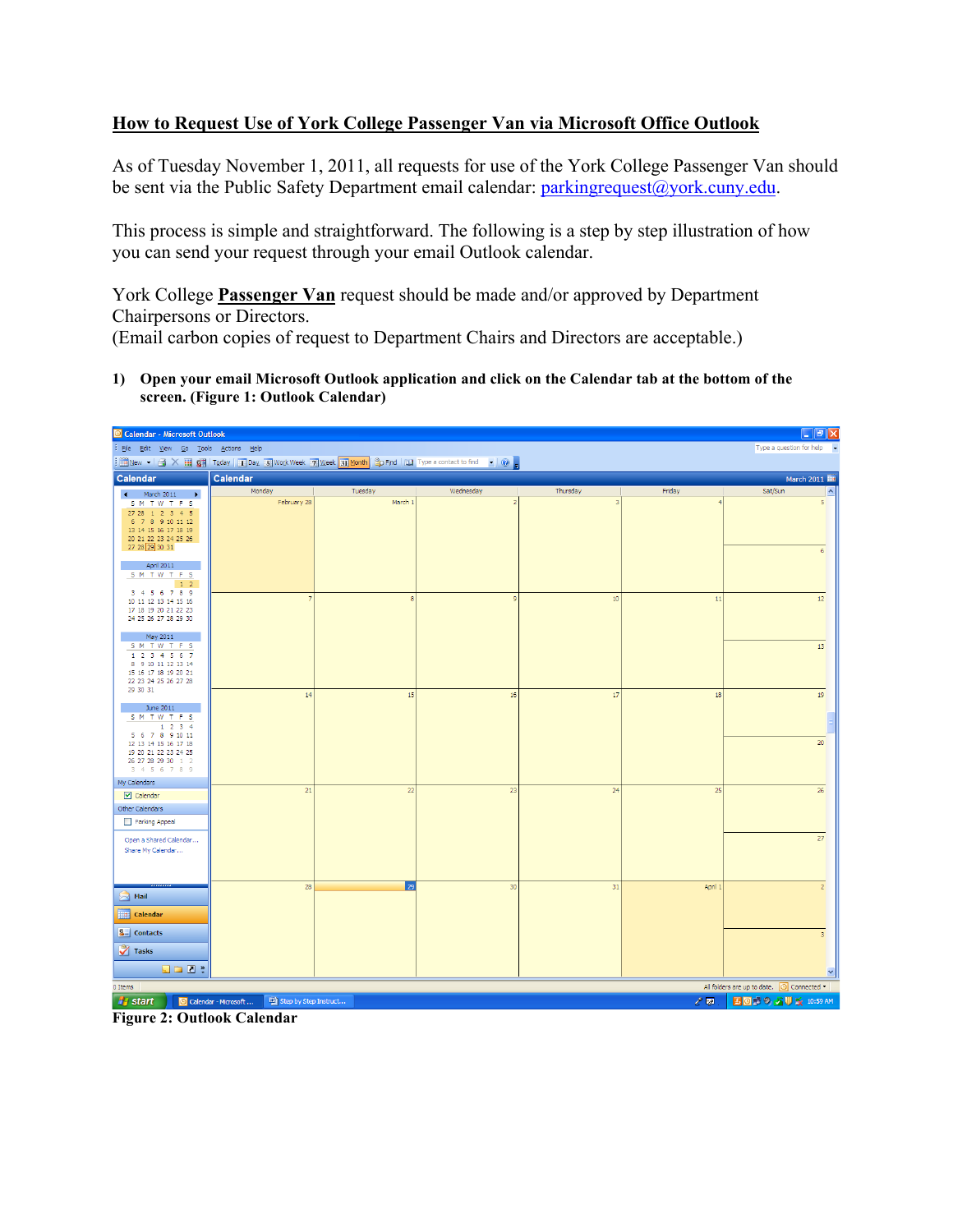## **How to Request Use of York College Passenger Van via Microsoft Office Outlook**

As of Tuesday November 1, 2011, all requests for use of the York College Passenger Van should be sent via the Public Safety Department email calendar: *[parkingrequest@york.cuny.edu.](mailto:parkingrequest@york.cuny.edu)* 

This process is simple and straightforward. The following is a step by step illustration of how you can send your request through your email Outlook calendar.

 (Email carbon copies of request to Department Chairs and Directors are acceptable.) York College **Passenger Van** request should be made and/or approved by Department Chairpersons or Directors.

 **1) Open your email Microsoft Outlook application and click on the Calendar tab at the bottom of the screen. (Figure 1: Outlook Calendar)** 



**Figure 2: Outlook Calendar**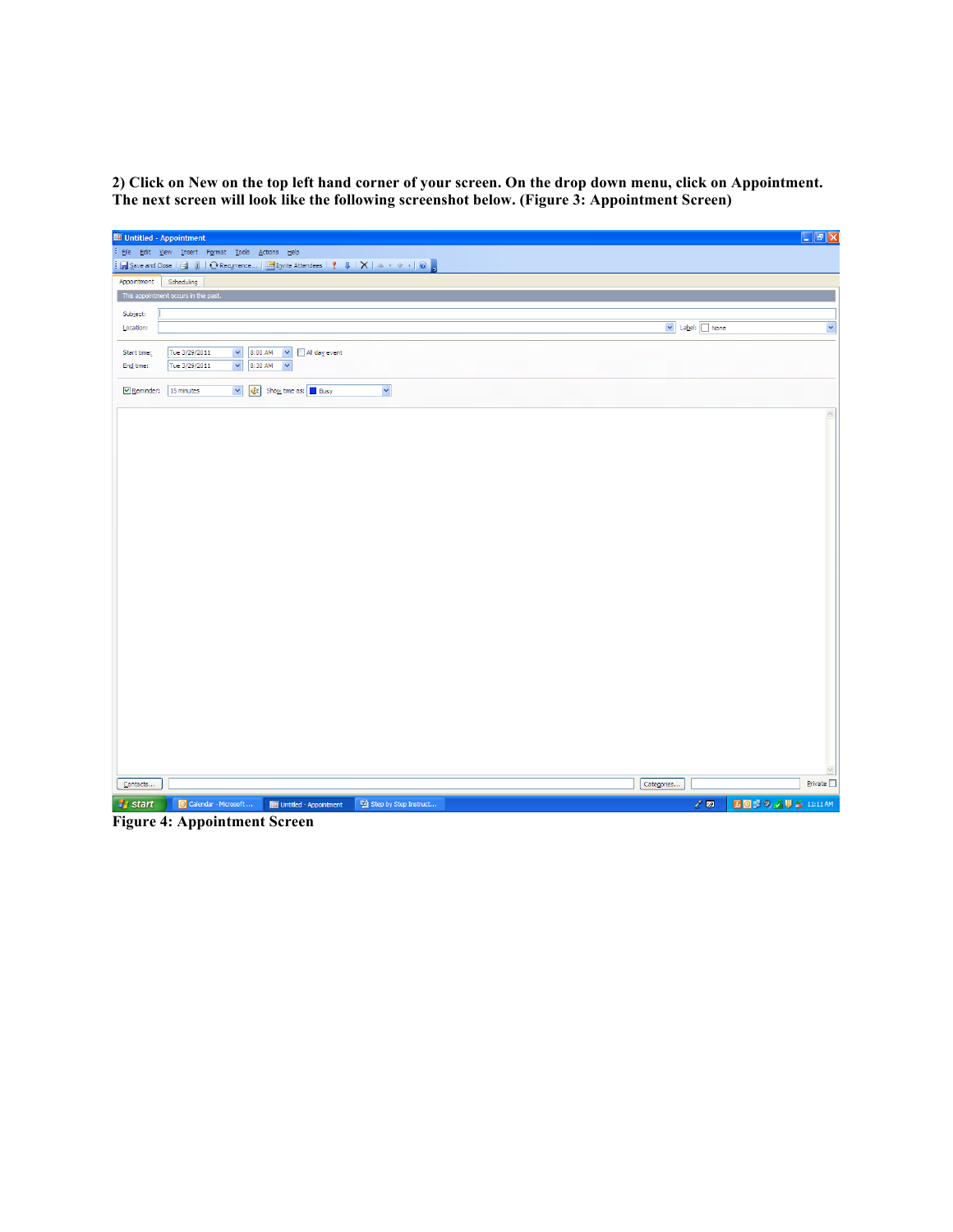**2) Click on New on the top left hand corner of your screen. On the drop down menu, click on Appointment. The next screen will look like the following screenshot below. (Figure 3: Appointment Screen)** 

| Appointment Scheduling<br>Subject:<br>v Label: None<br>$\checkmark$<br>Location:<br>8:00 AM v All day event<br>Tue 3/29/2011<br>$\checkmark$<br>Start time:<br>$\ddot{\phantom{0}}$<br>8:30 AM<br>$\checkmark$<br>Tue 3/29/2011<br>End time:<br>V Of Show time as: Busy<br>$\blacktriangledown$<br>Reminder: 15 minutes | File Edit View Insert Format Tools Actions Help<br>$\frac{1}{2}\text{Case and Close } \text{ }Q\text{ }\text{ }\text{ }0\text{ }\mid \text{ }O \text{ Recurrence } \text{ } \frac{1}{2}\text{Inpute} \text{ Attendees } \text{ } \text{ }Q\text{ }\mid \text{ }X\text{ }\mid \text{ } \rightarrow \text{ }\text{ }\rightsquigarrow \text{ }\mid \text{ }Q\text{ }\mid \text{ }$<br>This appointment occurs in the past.<br>Private<br>Categories<br>Contacts | Untitled - Appointment | $\Box$ e $\times$        |
|-------------------------------------------------------------------------------------------------------------------------------------------------------------------------------------------------------------------------------------------------------------------------------------------------------------------------|--------------------------------------------------------------------------------------------------------------------------------------------------------------------------------------------------------------------------------------------------------------------------------------------------------------------------------------------------------------------------------------------------------------------------------------------------------------|------------------------|--------------------------|
|                                                                                                                                                                                                                                                                                                                         |                                                                                                                                                                                                                                                                                                                                                                                                                                                              |                        |                          |
|                                                                                                                                                                                                                                                                                                                         |                                                                                                                                                                                                                                                                                                                                                                                                                                                              |                        |                          |
|                                                                                                                                                                                                                                                                                                                         |                                                                                                                                                                                                                                                                                                                                                                                                                                                              |                        |                          |
|                                                                                                                                                                                                                                                                                                                         |                                                                                                                                                                                                                                                                                                                                                                                                                                                              |                        |                          |
|                                                                                                                                                                                                                                                                                                                         |                                                                                                                                                                                                                                                                                                                                                                                                                                                              |                        |                          |
|                                                                                                                                                                                                                                                                                                                         |                                                                                                                                                                                                                                                                                                                                                                                                                                                              |                        |                          |
|                                                                                                                                                                                                                                                                                                                         |                                                                                                                                                                                                                                                                                                                                                                                                                                                              |                        |                          |
|                                                                                                                                                                                                                                                                                                                         |                                                                                                                                                                                                                                                                                                                                                                                                                                                              |                        |                          |
|                                                                                                                                                                                                                                                                                                                         |                                                                                                                                                                                                                                                                                                                                                                                                                                                              |                        |                          |
|                                                                                                                                                                                                                                                                                                                         |                                                                                                                                                                                                                                                                                                                                                                                                                                                              |                        |                          |
|                                                                                                                                                                                                                                                                                                                         |                                                                                                                                                                                                                                                                                                                                                                                                                                                              |                        |                          |
|                                                                                                                                                                                                                                                                                                                         |                                                                                                                                                                                                                                                                                                                                                                                                                                                              |                        |                          |
|                                                                                                                                                                                                                                                                                                                         |                                                                                                                                                                                                                                                                                                                                                                                                                                                              |                        |                          |
|                                                                                                                                                                                                                                                                                                                         |                                                                                                                                                                                                                                                                                                                                                                                                                                                              |                        |                          |
|                                                                                                                                                                                                                                                                                                                         |                                                                                                                                                                                                                                                                                                                                                                                                                                                              |                        |                          |
|                                                                                                                                                                                                                                                                                                                         |                                                                                                                                                                                                                                                                                                                                                                                                                                                              |                        |                          |
|                                                                                                                                                                                                                                                                                                                         |                                                                                                                                                                                                                                                                                                                                                                                                                                                              |                        |                          |
|                                                                                                                                                                                                                                                                                                                         |                                                                                                                                                                                                                                                                                                                                                                                                                                                              |                        |                          |
|                                                                                                                                                                                                                                                                                                                         |                                                                                                                                                                                                                                                                                                                                                                                                                                                              |                        |                          |
|                                                                                                                                                                                                                                                                                                                         |                                                                                                                                                                                                                                                                                                                                                                                                                                                              |                        |                          |
|                                                                                                                                                                                                                                                                                                                         |                                                                                                                                                                                                                                                                                                                                                                                                                                                              |                        |                          |
|                                                                                                                                                                                                                                                                                                                         |                                                                                                                                                                                                                                                                                                                                                                                                                                                              |                        |                          |
|                                                                                                                                                                                                                                                                                                                         |                                                                                                                                                                                                                                                                                                                                                                                                                                                              |                        |                          |
|                                                                                                                                                                                                                                                                                                                         |                                                                                                                                                                                                                                                                                                                                                                                                                                                              |                        |                          |
|                                                                                                                                                                                                                                                                                                                         |                                                                                                                                                                                                                                                                                                                                                                                                                                                              |                        |                          |
|                                                                                                                                                                                                                                                                                                                         |                                                                                                                                                                                                                                                                                                                                                                                                                                                              |                        |                          |
|                                                                                                                                                                                                                                                                                                                         |                                                                                                                                                                                                                                                                                                                                                                                                                                                              |                        |                          |
|                                                                                                                                                                                                                                                                                                                         |                                                                                                                                                                                                                                                                                                                                                                                                                                                              |                        |                          |
|                                                                                                                                                                                                                                                                                                                         |                                                                                                                                                                                                                                                                                                                                                                                                                                                              |                        |                          |
|                                                                                                                                                                                                                                                                                                                         |                                                                                                                                                                                                                                                                                                                                                                                                                                                              |                        |                          |
|                                                                                                                                                                                                                                                                                                                         |                                                                                                                                                                                                                                                                                                                                                                                                                                                              |                        |                          |
|                                                                                                                                                                                                                                                                                                                         |                                                                                                                                                                                                                                                                                                                                                                                                                                                              |                        |                          |
|                                                                                                                                                                                                                                                                                                                         |                                                                                                                                                                                                                                                                                                                                                                                                                                                              |                        |                          |
|                                                                                                                                                                                                                                                                                                                         |                                                                                                                                                                                                                                                                                                                                                                                                                                                              |                        |                          |
|                                                                                                                                                                                                                                                                                                                         |                                                                                                                                                                                                                                                                                                                                                                                                                                                              |                        |                          |
|                                                                                                                                                                                                                                                                                                                         | $\mathcal{E}^{\text{op}}$<br><b>A</b> start<br>Calendar - Microsoft<br>Step by Step Instruct<br><b>IIII</b> Untitled - Appointment                                                                                                                                                                                                                                                                                                                           |                        | <b>2039 50% 11:11 AM</b> |

**Figure 4: Appointment Screen**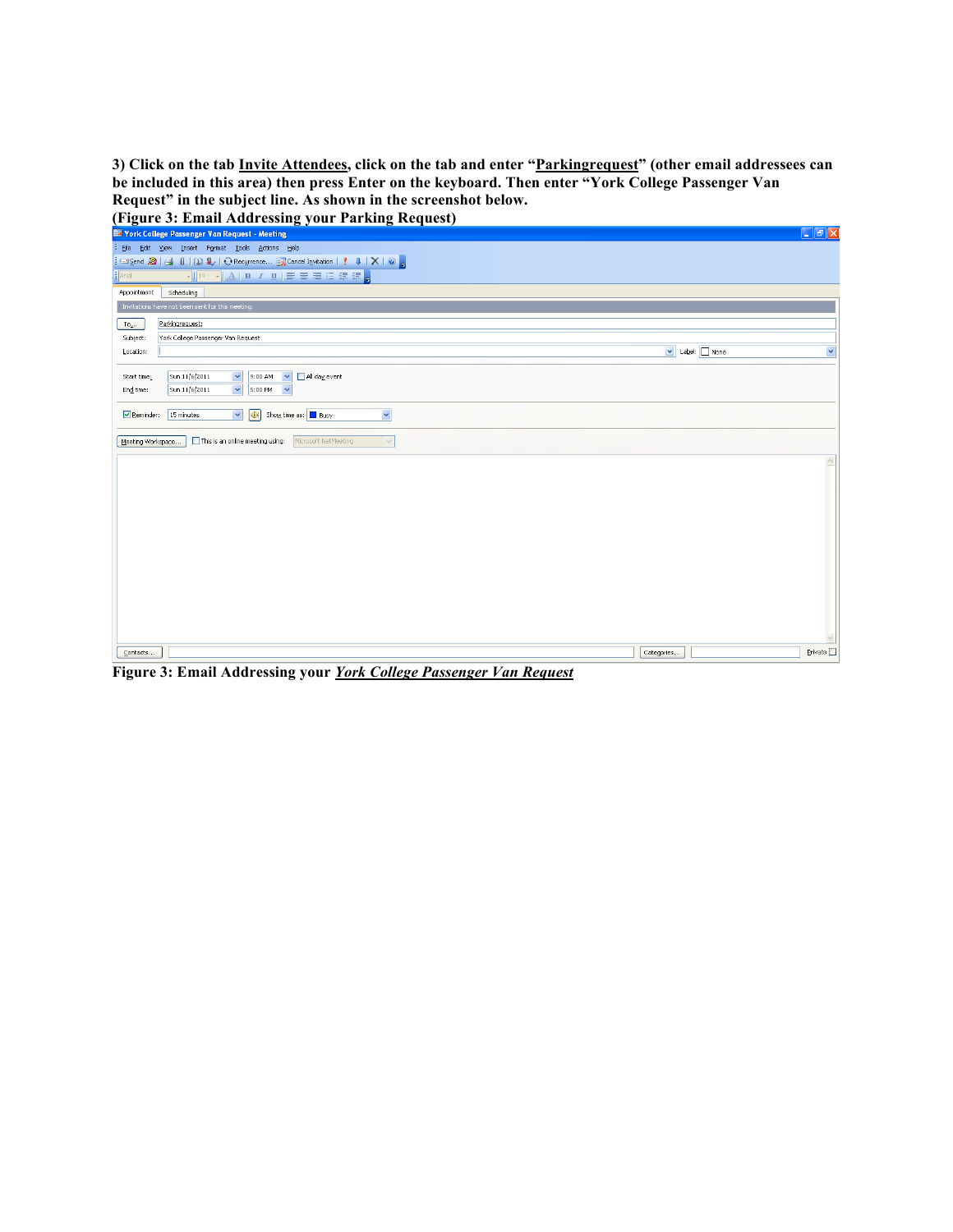**Request" in the subject line. As shown in the screenshot below. 3) Click on the tab Invite Attendees, click on the tab and enter "Parkingrequest" (other email addressees can be included in this area) then press Enter on the keyboard. Then enter "York College Passenger Van** 

 **(Figure 3: Email Addressing your Parking Request)** 

| <b>THE York College Passenger Van Request - Meeting</b>                                  |               | $\Box$ e $\times$    |
|------------------------------------------------------------------------------------------|---------------|----------------------|
| File Edit View Insert Format Tools Actions Help                                          |               |                      |
| : ⊡Send 2   G     □ &   ← Recurrence EX Cancel Invitation       ↓   ×   ⊙   -            |               |                      |
| Arial                                                                                    |               |                      |
| Appointment<br>Scheduling                                                                |               |                      |
| Invitations have not been sent for this meeting.                                         |               |                      |
| Parkingrequest;<br>$To_{L}$ .                                                            |               |                      |
| Subject:<br>York College Passenger Van Request                                           |               |                      |
| Location:                                                                                | V Label: None | $\ddot{\phantom{0}}$ |
| $\checkmark$<br>9:00 AM<br>All day event<br>Sun 11/6/2011<br>$\checkmark$<br>Start time: |               |                      |
| $\checkmark$<br>5:00 PM<br>$\checkmark$<br>End time:<br>Sun 11/6/2011                    |               |                      |
|                                                                                          |               |                      |
| Y<br>V <b>O</b> Show time as: Busy<br>Reminder:<br>15 minutes                            |               |                      |
| This is an online meeting using:<br>Microsoft NetMeeting<br>$\vee$<br>Meeting Workspace  |               |                      |
|                                                                                          |               |                      |
|                                                                                          |               |                      |
|                                                                                          |               |                      |
|                                                                                          |               |                      |
|                                                                                          |               |                      |
|                                                                                          |               |                      |
|                                                                                          |               |                      |
|                                                                                          |               |                      |
|                                                                                          |               |                      |
|                                                                                          |               |                      |
|                                                                                          |               |                      |
|                                                                                          |               |                      |
|                                                                                          |               |                      |
| Contacts                                                                                 | Categories    | Private              |
|                                                                                          |               |                      |

 **Figure 3: Email Addressing your** *York College Passenger Van Request*